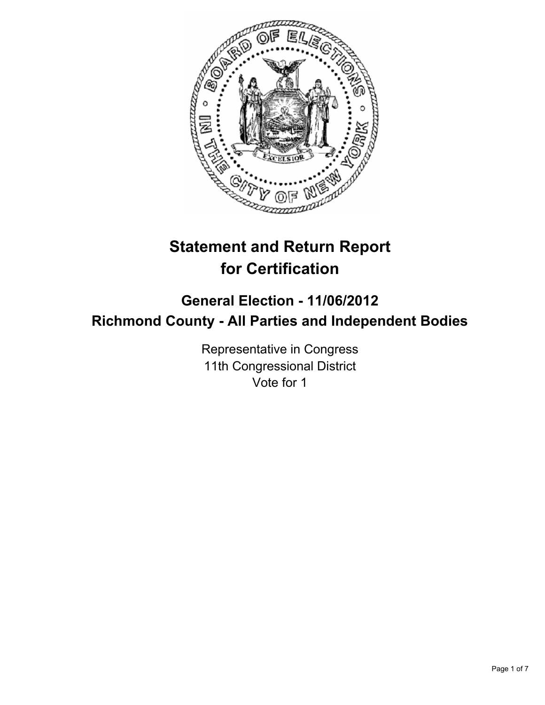

# **Statement and Return Report for Certification**

## **General Election - 11/06/2012 Richmond County - All Parties and Independent Bodies**

Representative in Congress 11th Congressional District Vote for 1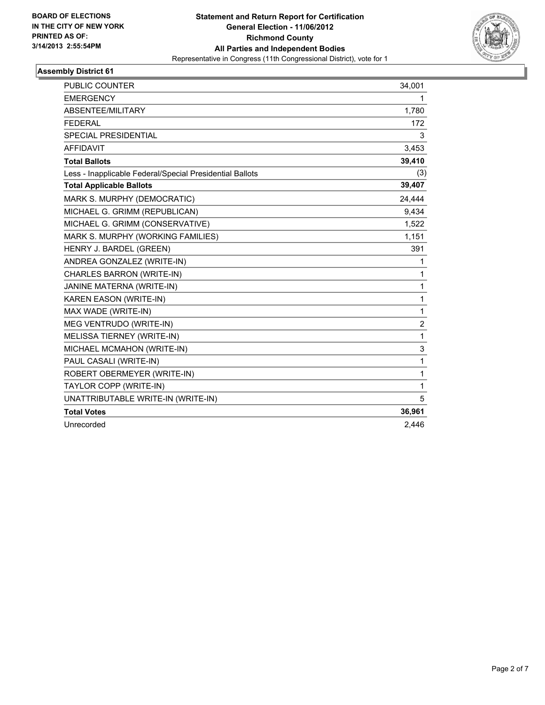

| <b>PUBLIC COUNTER</b>                                    | 34,001         |
|----------------------------------------------------------|----------------|
| <b>EMERGENCY</b>                                         | 1              |
| ABSENTEE/MILITARY                                        | 1,780          |
| <b>FEDERAL</b>                                           | 172            |
| <b>SPECIAL PRESIDENTIAL</b>                              | 3              |
| <b>AFFIDAVIT</b>                                         | 3,453          |
| <b>Total Ballots</b>                                     | 39,410         |
| Less - Inapplicable Federal/Special Presidential Ballots | (3)            |
| <b>Total Applicable Ballots</b>                          | 39,407         |
| MARK S. MURPHY (DEMOCRATIC)                              | 24,444         |
| MICHAEL G. GRIMM (REPUBLICAN)                            | 9,434          |
| MICHAEL G. GRIMM (CONSERVATIVE)                          | 1,522          |
| MARK S. MURPHY (WORKING FAMILIES)                        | 1,151          |
| HENRY J. BARDEL (GREEN)                                  | 391            |
| ANDREA GONZALEZ (WRITE-IN)                               | 1              |
| CHARLES BARRON (WRITE-IN)                                | 1              |
| JANINE MATERNA (WRITE-IN)                                | 1              |
| KAREN EASON (WRITE-IN)                                   | 1              |
| MAX WADE (WRITE-IN)                                      | 1              |
| MEG VENTRUDO (WRITE-IN)                                  | $\overline{2}$ |
| MELISSA TIERNEY (WRITE-IN)                               | $\mathbf{1}$   |
| MICHAEL MCMAHON (WRITE-IN)                               | 3              |
| PAUL CASALI (WRITE-IN)                                   | 1              |
| ROBERT OBERMEYER (WRITE-IN)                              | 1              |
| TAYLOR COPP (WRITE-IN)                                   | 1              |
| UNATTRIBUTABLE WRITE-IN (WRITE-IN)                       | 5              |
| <b>Total Votes</b>                                       | 36,961         |
| Unrecorded                                               | 2,446          |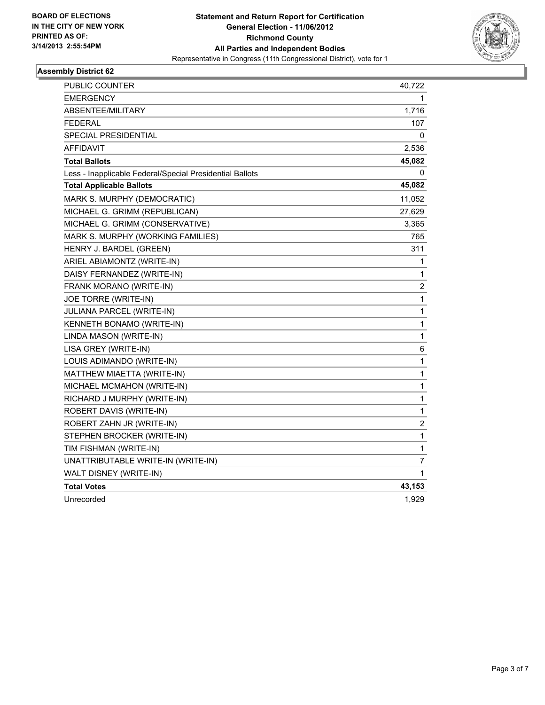

| <b>PUBLIC COUNTER</b>                                    | 40,722                  |
|----------------------------------------------------------|-------------------------|
| <b>EMERGENCY</b>                                         | 1                       |
| ABSENTEE/MILITARY                                        | 1,716                   |
| <b>FEDERAL</b>                                           | 107                     |
| <b>SPECIAL PRESIDENTIAL</b>                              | 0                       |
| AFFIDAVIT                                                | 2,536                   |
| <b>Total Ballots</b>                                     | 45,082                  |
| Less - Inapplicable Federal/Special Presidential Ballots | 0                       |
| <b>Total Applicable Ballots</b>                          | 45,082                  |
| MARK S. MURPHY (DEMOCRATIC)                              | 11,052                  |
| MICHAEL G. GRIMM (REPUBLICAN)                            | 27,629                  |
| MICHAEL G. GRIMM (CONSERVATIVE)                          | 3,365                   |
| MARK S. MURPHY (WORKING FAMILIES)                        | 765                     |
| HENRY J. BARDEL (GREEN)                                  | 311                     |
| ARIEL ABIAMONTZ (WRITE-IN)                               | 1                       |
| DAISY FERNANDEZ (WRITE-IN)                               | $\mathbf{1}$            |
| FRANK MORANO (WRITE-IN)                                  | $\overline{\mathbf{c}}$ |
| JOE TORRE (WRITE-IN)                                     | 1                       |
| JULIANA PARCEL (WRITE-IN)                                | 1                       |
| KENNETH BONAMO (WRITE-IN)                                | $\mathbf{1}$            |
| LINDA MASON (WRITE-IN)                                   | $\mathbf{1}$            |
| LISA GREY (WRITE-IN)                                     | 6                       |
| LOUIS ADIMANDO (WRITE-IN)                                | 1                       |
| MATTHEW MIAETTA (WRITE-IN)                               | 1                       |
| MICHAEL MCMAHON (WRITE-IN)                               | $\mathbf{1}$            |
| RICHARD J MURPHY (WRITE-IN)                              | 1                       |
| ROBERT DAVIS (WRITE-IN)                                  | $\mathbf{1}$            |
| ROBERT ZAHN JR (WRITE-IN)                                | $\overline{c}$          |
| STEPHEN BROCKER (WRITE-IN)                               | 1                       |
| TIM FISHMAN (WRITE-IN)                                   | 1                       |
| UNATTRIBUTABLE WRITE-IN (WRITE-IN)                       | 7                       |
| WALT DISNEY (WRITE-IN)                                   | 1                       |
| <b>Total Votes</b>                                       | 43,153                  |
| Unrecorded                                               | 1,929                   |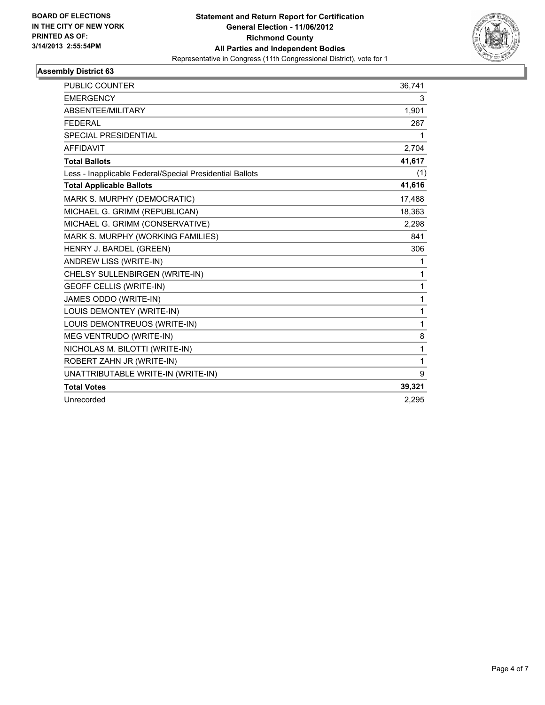

| <b>PUBLIC COUNTER</b>                                    | 36,741 |
|----------------------------------------------------------|--------|
| <b>EMERGENCY</b>                                         | 3      |
| ABSENTEE/MILITARY                                        | 1,901  |
| <b>FEDERAL</b>                                           | 267    |
| SPECIAL PRESIDENTIAL                                     | 1      |
| <b>AFFIDAVIT</b>                                         | 2,704  |
| <b>Total Ballots</b>                                     | 41,617 |
| Less - Inapplicable Federal/Special Presidential Ballots | (1)    |
| <b>Total Applicable Ballots</b>                          | 41,616 |
| MARK S. MURPHY (DEMOCRATIC)                              | 17,488 |
| MICHAEL G. GRIMM (REPUBLICAN)                            | 18,363 |
| MICHAEL G. GRIMM (CONSERVATIVE)                          | 2,298  |
| MARK S. MURPHY (WORKING FAMILIES)                        | 841    |
| HENRY J. BARDEL (GREEN)                                  | 306    |
| ANDREW LISS (WRITE-IN)                                   | 1      |
| CHELSY SULLENBIRGEN (WRITE-IN)                           | 1      |
| <b>GEOFF CELLIS (WRITE-IN)</b>                           | 1      |
| JAMES ODDO (WRITE-IN)                                    | 1      |
| LOUIS DEMONTEY (WRITE-IN)                                | 1      |
| LOUIS DEMONTREUOS (WRITE-IN)                             | 1      |
| MEG VENTRUDO (WRITE-IN)                                  | 8      |
| NICHOLAS M. BILOTTI (WRITE-IN)                           | 1      |
| ROBERT ZAHN JR (WRITE-IN)                                | 1      |
| UNATTRIBUTABLE WRITE-IN (WRITE-IN)                       | 9      |
| <b>Total Votes</b>                                       | 39,321 |
| Unrecorded                                               | 2,295  |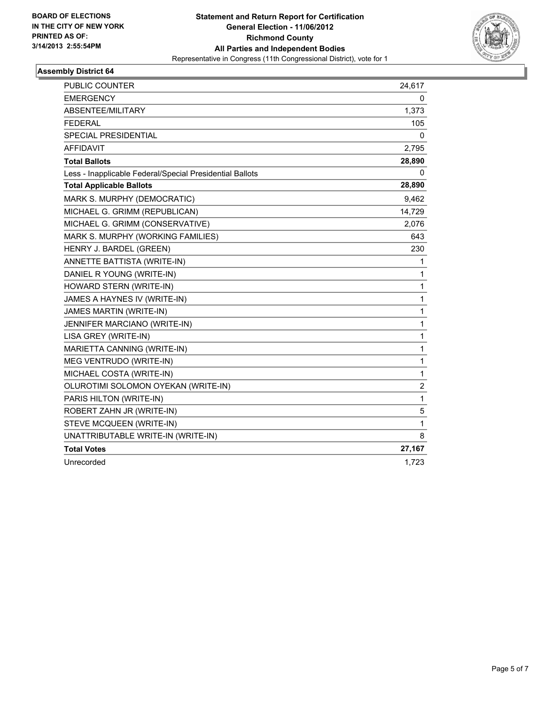

| PUBLIC COUNTER                                           | 24,617         |
|----------------------------------------------------------|----------------|
| <b>EMERGENCY</b>                                         | 0              |
| ABSENTEE/MILITARY                                        | 1,373          |
| <b>FEDERAL</b>                                           | 105            |
| SPECIAL PRESIDENTIAL                                     | 0              |
| <b>AFFIDAVIT</b>                                         | 2,795          |
| <b>Total Ballots</b>                                     | 28,890         |
| Less - Inapplicable Federal/Special Presidential Ballots | 0              |
| <b>Total Applicable Ballots</b>                          | 28,890         |
| MARK S. MURPHY (DEMOCRATIC)                              | 9,462          |
| MICHAEL G. GRIMM (REPUBLICAN)                            | 14,729         |
| MICHAEL G. GRIMM (CONSERVATIVE)                          | 2,076          |
| MARK S. MURPHY (WORKING FAMILIES)                        | 643            |
| HENRY J. BARDEL (GREEN)                                  | 230            |
| ANNETTE BATTISTA (WRITE-IN)                              | 1              |
| DANIEL R YOUNG (WRITE-IN)                                | 1              |
| HOWARD STERN (WRITE-IN)                                  | 1              |
| JAMES A HAYNES IV (WRITE-IN)                             | 1              |
| JAMES MARTIN (WRITE-IN)                                  | 1              |
| JENNIFER MARCIANO (WRITE-IN)                             | 1              |
| LISA GREY (WRITE-IN)                                     | 1              |
| MARIETTA CANNING (WRITE-IN)                              | 1              |
| MEG VENTRUDO (WRITE-IN)                                  | 1              |
| MICHAEL COSTA (WRITE-IN)                                 | 1              |
| OLUROTIMI SOLOMON OYEKAN (WRITE-IN)                      | $\overline{2}$ |
| PARIS HILTON (WRITE-IN)                                  | 1              |
| ROBERT ZAHN JR (WRITE-IN)                                | 5              |
| STEVE MCQUEEN (WRITE-IN)                                 | $\mathbf{1}$   |
| UNATTRIBUTABLE WRITE-IN (WRITE-IN)                       | 8              |
| <b>Total Votes</b>                                       | 27,167         |
| Unrecorded                                               | 1,723          |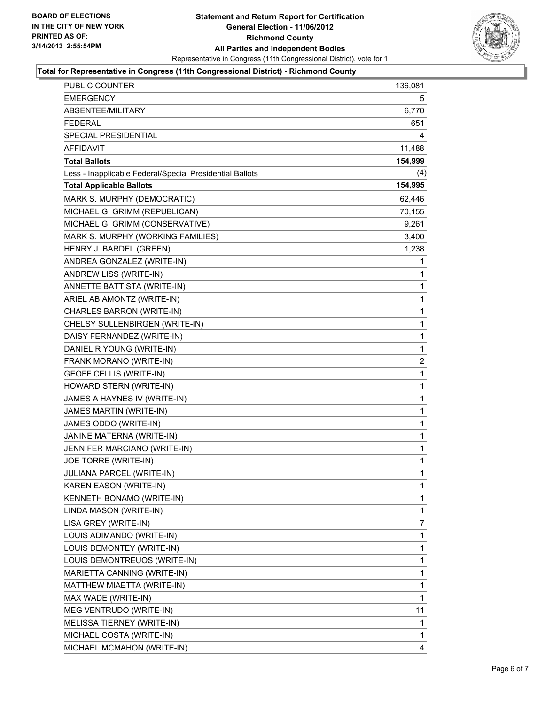

#### **Total for Representative in Congress (11th Congressional District) - Richmond County**

| PUBLIC COUNTER                                           | 136,081        |
|----------------------------------------------------------|----------------|
| EMERGENCY                                                | 5              |
| ABSENTEE/MILITARY                                        | 6,770          |
| <b>FEDERAL</b>                                           | 651            |
| SPECIAL PRESIDENTIAL                                     | 4              |
| <b>AFFIDAVIT</b>                                         | 11,488         |
| <b>Total Ballots</b>                                     | 154,999        |
| Less - Inapplicable Federal/Special Presidential Ballots | (4)            |
| <b>Total Applicable Ballots</b>                          | 154,995        |
| MARK S. MURPHY (DEMOCRATIC)                              | 62,446         |
| MICHAEL G. GRIMM (REPUBLICAN)                            | 70,155         |
| MICHAEL G. GRIMM (CONSERVATIVE)                          | 9,261          |
| MARK S. MURPHY (WORKING FAMILIES)                        | 3,400          |
| HENRY J. BARDEL (GREEN)                                  | 1,238          |
| ANDREA GONZALEZ (WRITE-IN)                               | 1              |
| ANDREW LISS (WRITE-IN)                                   | 1              |
| ANNETTE BATTISTA (WRITE-IN)                              | 1              |
| ARIEL ABIAMONTZ (WRITE-IN)                               | 1              |
| CHARLES BARRON (WRITE-IN)                                | $\mathbf{1}$   |
| CHELSY SULLENBIRGEN (WRITE-IN)                           | 1              |
| DAISY FERNANDEZ (WRITE-IN)                               | 1              |
| DANIEL R YOUNG (WRITE-IN)                                | 1              |
| FRANK MORANO (WRITE-IN)                                  | $\overline{2}$ |
| <b>GEOFF CELLIS (WRITE-IN)</b>                           | 1              |
| HOWARD STERN (WRITE-IN)                                  | $\mathbf{1}$   |
| JAMES A HAYNES IV (WRITE-IN)                             | 1              |
| JAMES MARTIN (WRITE-IN)                                  | 1              |
| JAMES ODDO (WRITE-IN)                                    | 1              |
| JANINE MATERNA (WRITE-IN)                                | 1              |
| JENNIFER MARCIANO (WRITE-IN)                             | 1              |
| JOE TORRE (WRITE-IN)                                     | 1              |
| JULIANA PARCEL (WRITE-IN)                                | 1              |
| KAREN EASON (WRITE-IN)                                   | 1              |
| KENNETH BONAMO (WRITE-IN)                                | 1              |
| LINDA MASON (WRITE-IN)                                   | 1              |
| LISA GREY (WRITE-IN)                                     | 7              |
| LOUIS ADIMANDO (WRITE-IN)                                | 1              |
| LOUIS DEMONTEY (WRITE-IN)                                | 1              |
| LOUIS DEMONTREUOS (WRITE-IN)                             | 1              |
| MARIETTA CANNING (WRITE-IN)                              | 1              |
| MATTHEW MIAETTA (WRITE-IN)                               | 1              |
| MAX WADE (WRITE-IN)                                      | 1              |
| MEG VENTRUDO (WRITE-IN)                                  | 11             |
| MELISSA TIERNEY (WRITE-IN)                               | 1              |
| MICHAEL COSTA (WRITE-IN)                                 | 1              |
| MICHAEL MCMAHON (WRITE-IN)                               | 4              |